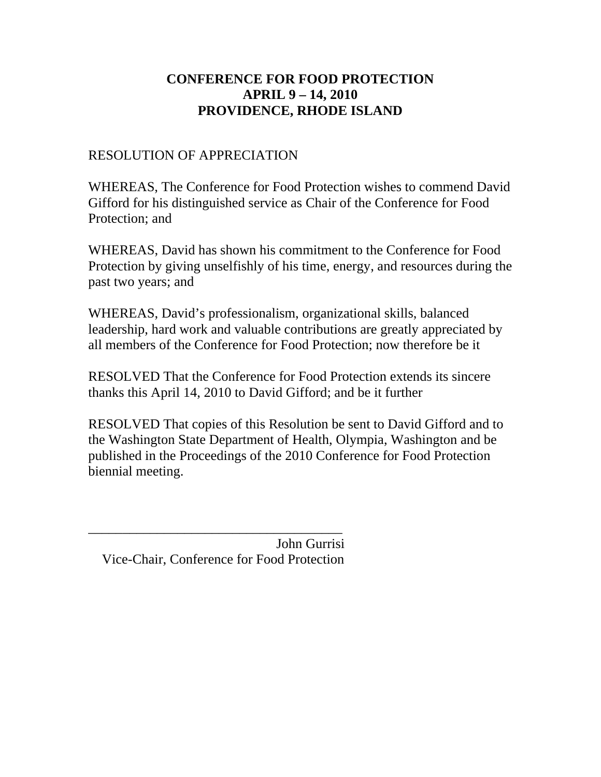## RESOLUTION OF APPRECIATION

WHEREAS, The Conference for Food Protection wishes to commend David Gifford for his distinguished service as Chair of the Conference for Food Protection; and

WHEREAS, David has shown his commitment to the Conference for Food Protection by giving unselfishly of his time, energy, and resources during the past two years; and

WHEREAS, David's professionalism, organizational skills, balanced leadership, hard work and valuable contributions are greatly appreciated by all members of the Conference for Food Protection; now therefore be it

RESOLVED That the Conference for Food Protection extends its sincere thanks this April 14, 2010 to David Gifford; and be it further

RESOLVED That copies of this Resolution be sent to David Gifford and to the Washington State Department of Health, Olympia, Washington and be published in the Proceedings of the 2010 Conference for Food Protection biennial meeting.

 John Gurrisi Vice-Chair, Conference for Food Protection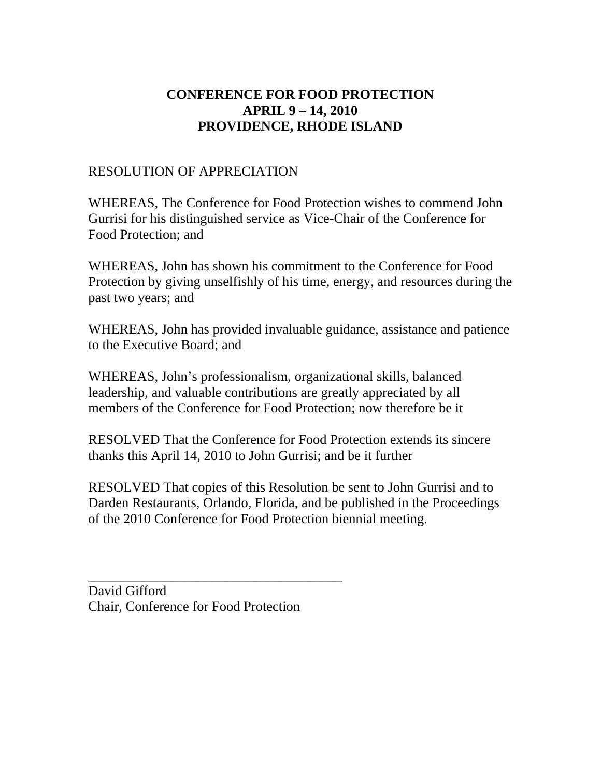## RESOLUTION OF APPRECIATION

WHEREAS, The Conference for Food Protection wishes to commend John Gurrisi for his distinguished service as Vice-Chair of the Conference for Food Protection; and

WHEREAS, John has shown his commitment to the Conference for Food Protection by giving unselfishly of his time, energy, and resources during the past two years; and

WHEREAS, John has provided invaluable guidance, assistance and patience to the Executive Board; and

WHEREAS, John's professionalism, organizational skills, balanced leadership, and valuable contributions are greatly appreciated by all members of the Conference for Food Protection; now therefore be it

RESOLVED That the Conference for Food Protection extends its sincere thanks this April 14, 2010 to John Gurrisi; and be it further

RESOLVED That copies of this Resolution be sent to John Gurrisi and to Darden Restaurants, Orlando, Florida, and be published in the Proceedings of the 2010 Conference for Food Protection biennial meeting.

David Gifford Chair, Conference for Food Protection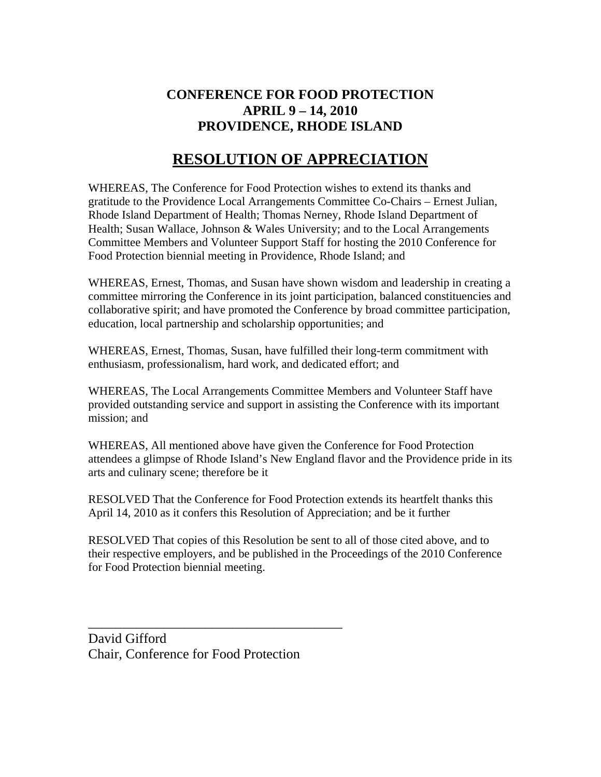# **RESOLUTION OF APPRECIATION**

WHEREAS, The Conference for Food Protection wishes to extend its thanks and gratitude to the Providence Local Arrangements Committee Co-Chairs – Ernest Julian, Rhode Island Department of Health; Thomas Nerney, Rhode Island Department of Health; Susan Wallace, Johnson & Wales University; and to the Local Arrangements Committee Members and Volunteer Support Staff for hosting the 2010 Conference for Food Protection biennial meeting in Providence, Rhode Island; and

WHEREAS, Ernest, Thomas, and Susan have shown wisdom and leadership in creating a committee mirroring the Conference in its joint participation, balanced constituencies and collaborative spirit; and have promoted the Conference by broad committee participation, education, local partnership and scholarship opportunities; and

WHEREAS, Ernest, Thomas, Susan, have fulfilled their long-term commitment with enthusiasm, professionalism, hard work, and dedicated effort; and

WHEREAS, The Local Arrangements Committee Members and Volunteer Staff have provided outstanding service and support in assisting the Conference with its important mission; and

WHEREAS, All mentioned above have given the Conference for Food Protection attendees a glimpse of Rhode Island's New England flavor and the Providence pride in its arts and culinary scene; therefore be it

RESOLVED That the Conference for Food Protection extends its heartfelt thanks this April 14, 2010 as it confers this Resolution of Appreciation; and be it further

RESOLVED That copies of this Resolution be sent to all of those cited above, and to their respective employers, and be published in the Proceedings of the 2010 Conference for Food Protection biennial meeting.

David Gifford Chair, Conference for Food Protection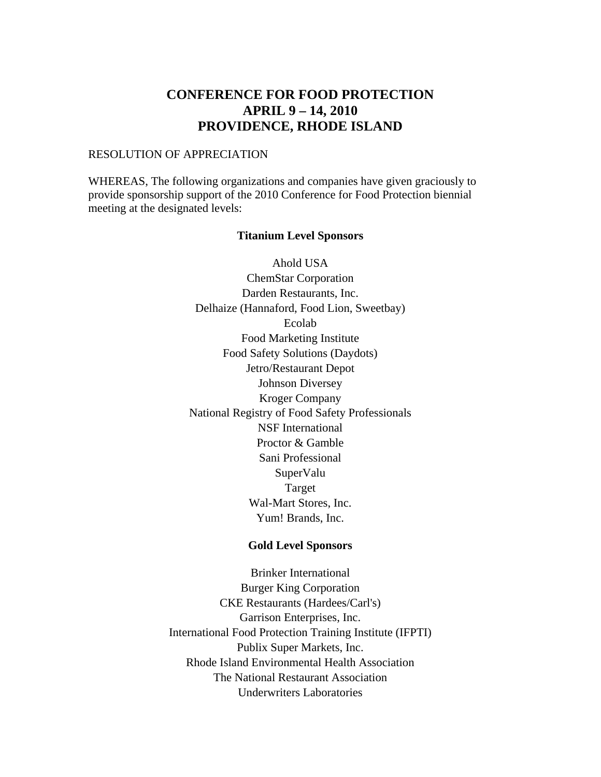#### RESOLUTION OF APPRECIATION

WHEREAS, The following organizations and companies have given graciously to provide sponsorship support of the 2010 Conference for Food Protection biennial meeting at the designated levels:

#### **Titanium Level Sponsors**

[Ahold USA](http://www.ahold.com/)  [ChemStar Corporation](http://www.chemstarcorp.com/)  [Darden Restaurants, Inc.](http://www.darden.com/)  [Delhaize \(Hannaford, Food Lion, Sweetbay\)](http://www.delhaizegroup.com/divclassdg_MenuText_DarkBlueCOMPANIESdiv/USA/tabid/102/language/en-US/Default.aspx)  [Ecolab](http://www.ecolab.com/)  [Food Marketing Institute](http://www.fmi.org/)  [Food Safety Solutions \(Daydots\)](https://www.daydots.com/)  [Jetro/Restaurant Depot](http://www.restaurantdepot.com/)  [Johnson Diversey](http://www.johnsondiversey.com/cultures/en/default.htm)  [Kroger Company](http://www.kroger.com/)  [National Registry of Food Safety Professionals](http://www.nrfsp.com/)  [NSF International](http://www.nsf.org/)  [Proctor & Gamble](http://www.pg.com/en_US/index.shtml)  [Sani Professional](http://www.pdipdi.com/sani-professional/splash.aspx)  [SuperValu](http://www.supervalu.com/)  [Target](http://www.target.com/)  [Wal-Mart Stores, Inc.](http://walmartstores.com/)  [Yum! Brands, Inc.](http://www.yum.com/) 

#### **Gold Level Sponsors**

[Brinker International](http://www.brinker.com/)  [Burger King Corporation](http://www.bk.com/)  [CKE Restaurants \(Hardees/Carl's\)](http://www.ckr.com/)  [Garrison Enterprises, Inc.](http://www.garrisonenterprises.com/)  [International Food Protection Training Institute \(IFPTI\)](http://www.ifpti.org/)  [Publix Super Markets, Inc.](http://www.publix.com/)  Rhode Island Environmental Health Association [The National Restaurant Association](http://www.restaurant.org/)  [Underwriters Laboratories](http://www.ul.com/)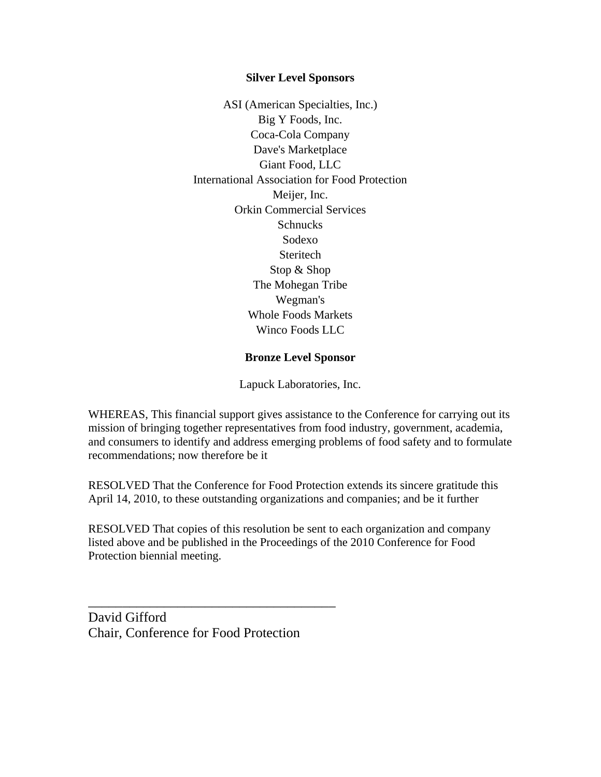#### **Silver Level Sponsors**

[ASI \(American Specialties, Inc.\)](http://www.americanspecialties.com/)  [Big Y Foods, Inc.](http://www.bigy.com/)  [Coca-Cola Company](http://www.coca-cola.com/index.jsp)  [Dave's Marketplace](http://www.davesmarketplace.com/pages/cfHome.cfm)  [Giant Food, LLC](http://www.giantfood.com/)  [International Association for Food Protection](http://foodprotection.org/main/default.asp)  [Meijer, Inc.](http://www.meijer.com/home.jsp)  [Orkin Commercial Services](http://www.orkin.com/commercial)  [Schnucks](http://www.schnucks.com/)  [Sodexo](http://www.sodexousa.com/)  [Steritech](http://www.steritech.com/)  [Stop & Shop](http://www.stopandshop.com/)  [The Mohegan Tribe](http://www.mohegan.nsn.us/)  [Wegman's](http://www.wegmans.com/)  [Whole Foods Markets](http://www.wholefoodsmarket.com/)  [Winco Foods LLC](http://www.wincofoods.com/) 

#### **Bronze Level Sponsor**

[Lapuck Laboratories, Inc.](http://www.lapucklabs.com/) 

WHEREAS, This financial support gives assistance to the Conference for carrying out its mission of bringing together representatives from food industry, government, academia, and consumers to identify and address emerging problems of food safety and to formulate recommendations; now therefore be it

RESOLVED That the Conference for Food Protection extends its sincere gratitude this April 14, 2010, to these outstanding organizations and companies; and be it further

RESOLVED That copies of this resolution be sent to each organization and company listed above and be published in the Proceedings of the 2010 Conference for Food Protection biennial meeting.

David Gifford Chair, Conference for Food Protection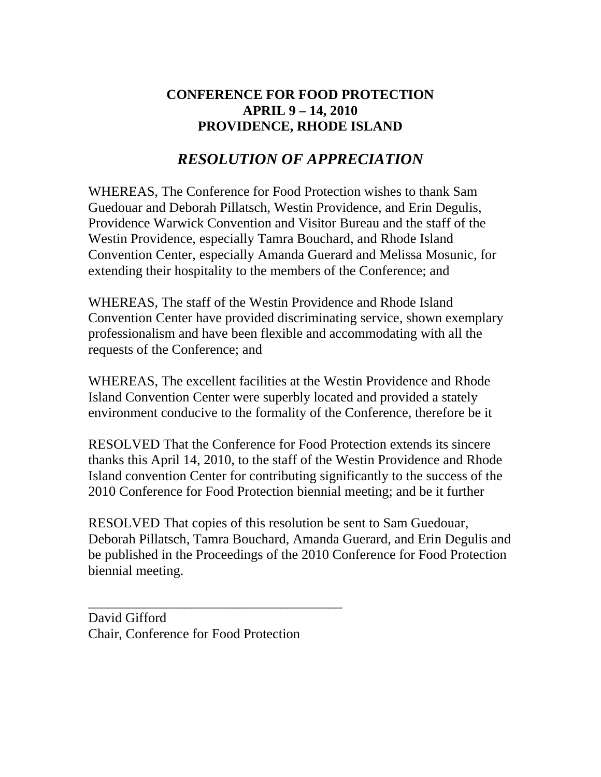# *RESOLUTION OF APPRECIATION*

WHEREAS, The Conference for Food Protection wishes to thank Sam Guedouar and Deborah Pillatsch, Westin Providence, and Erin Degulis, Providence Warwick Convention and Visitor Bureau and the staff of the Westin Providence, especially Tamra Bouchard, and Rhode Island Convention Center, especially Amanda Guerard and Melissa Mosunic, for extending their hospitality to the members of the Conference; and

WHEREAS, The staff of the Westin Providence and Rhode Island Convention Center have provided discriminating service, shown exemplary professionalism and have been flexible and accommodating with all the requests of the Conference; and

WHEREAS, The excellent facilities at the Westin Providence and Rhode Island Convention Center were superbly located and provided a stately environment conducive to the formality of the Conference, therefore be it

RESOLVED That the Conference for Food Protection extends its sincere thanks this April 14, 2010, to the staff of the Westin Providence and Rhode Island convention Center for contributing significantly to the success of the 2010 Conference for Food Protection biennial meeting; and be it further

RESOLVED That copies of this resolution be sent to Sam Guedouar, Deborah Pillatsch, Tamra Bouchard, Amanda Guerard, and Erin Degulis and be published in the Proceedings of the 2010 Conference for Food Protection biennial meeting.

David Gifford Chair, Conference for Food Protection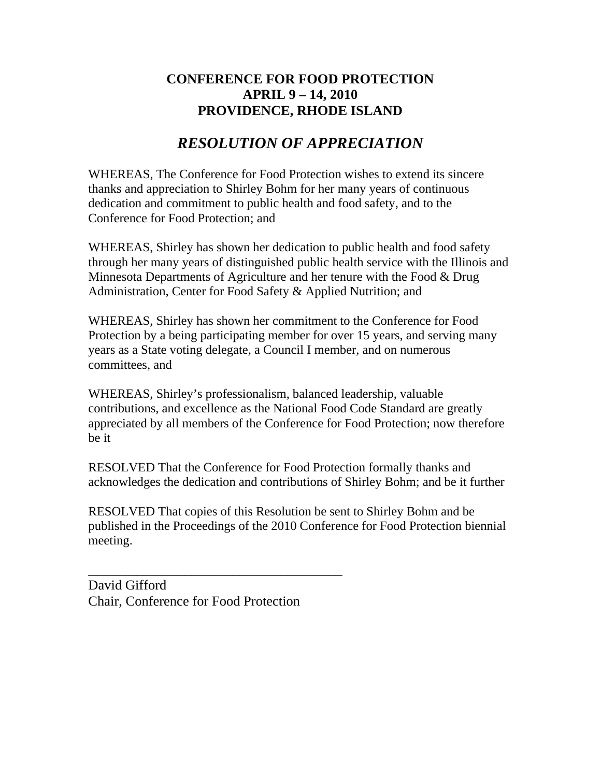# *RESOLUTION OF APPRECIATION*

WHEREAS, The Conference for Food Protection wishes to extend its sincere thanks and appreciation to Shirley Bohm for her many years of continuous dedication and commitment to public health and food safety, and to the Conference for Food Protection; and

WHEREAS, Shirley has shown her dedication to public health and food safety through her many years of distinguished public health service with the Illinois and Minnesota Departments of Agriculture and her tenure with the Food & Drug Administration, Center for Food Safety & Applied Nutrition; and

WHEREAS, Shirley has shown her commitment to the Conference for Food Protection by a being participating member for over 15 years, and serving many years as a State voting delegate, a Council I member, and on numerous committees, and

WHEREAS, Shirley's professionalism, balanced leadership, valuable contributions, and excellence as the National Food Code Standard are greatly appreciated by all members of the Conference for Food Protection; now therefore be it

RESOLVED That the Conference for Food Protection formally thanks and acknowledges the dedication and contributions of Shirley Bohm; and be it further

RESOLVED That copies of this Resolution be sent to Shirley Bohm and be published in the Proceedings of the 2010 Conference for Food Protection biennial meeting.

David Gifford Chair, Conference for Food Protection